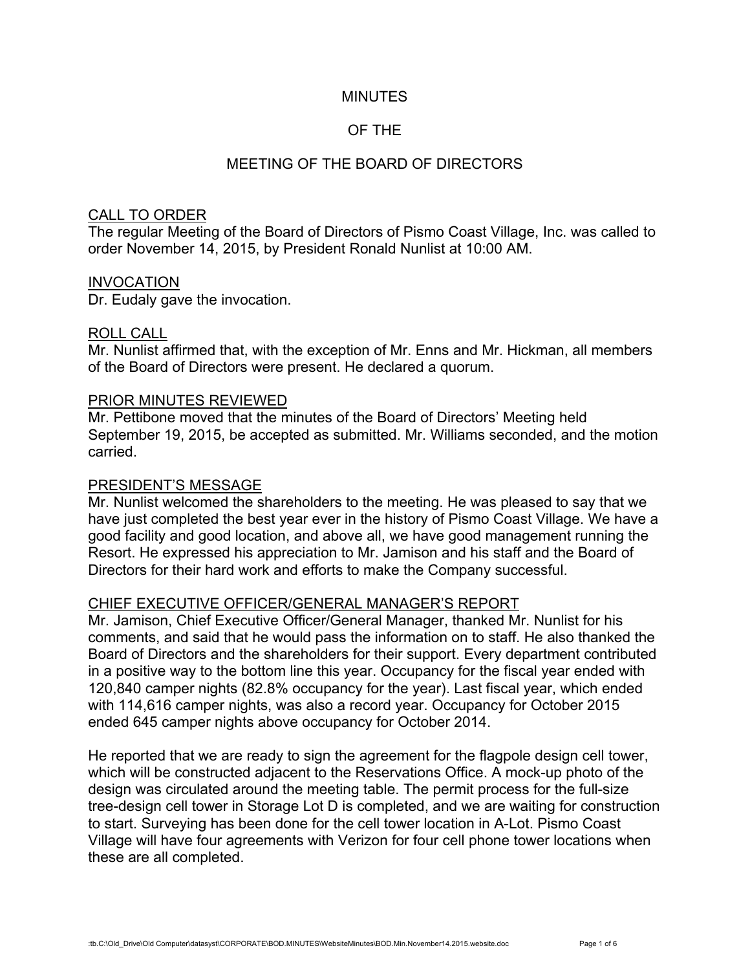## MINUTES

# OF THE

## MEETING OF THE BOARD OF DIRECTORS

### CALL TO ORDER

The regular Meeting of the Board of Directors of Pismo Coast Village, Inc. was called to order November 14, 2015, by President Ronald Nunlist at 10:00 AM.

#### INVOCATION

Dr. Eudaly gave the invocation.

#### ROLL CALL

Mr. Nunlist affirmed that, with the exception of Mr. Enns and Mr. Hickman, all members of the Board of Directors were present. He declared a quorum.

#### PRIOR MINUTES REVIEWED

Mr. Pettibone moved that the minutes of the Board of Directors' Meeting held September 19, 2015, be accepted as submitted. Mr. Williams seconded, and the motion carried.

#### PRESIDENT'S MESSAGE

Mr. Nunlist welcomed the shareholders to the meeting. He was pleased to say that we have just completed the best year ever in the history of Pismo Coast Village. We have a good facility and good location, and above all, we have good management running the Resort. He expressed his appreciation to Mr. Jamison and his staff and the Board of Directors for their hard work and efforts to make the Company successful.

### CHIEF EXECUTIVE OFFICER/GENERAL MANAGER'S REPORT

Mr. Jamison, Chief Executive Officer/General Manager, thanked Mr. Nunlist for his comments, and said that he would pass the information on to staff. He also thanked the Board of Directors and the shareholders for their support. Every department contributed in a positive way to the bottom line this year. Occupancy for the fiscal year ended with 120,840 camper nights (82.8% occupancy for the year). Last fiscal year, which ended with 114,616 camper nights, was also a record year. Occupancy for October 2015 ended 645 camper nights above occupancy for October 2014.

He reported that we are ready to sign the agreement for the flagpole design cell tower, which will be constructed adjacent to the Reservations Office. A mock-up photo of the design was circulated around the meeting table. The permit process for the full-size tree-design cell tower in Storage Lot D is completed, and we are waiting for construction to start. Surveying has been done for the cell tower location in A-Lot. Pismo Coast Village will have four agreements with Verizon for four cell phone tower locations when these are all completed.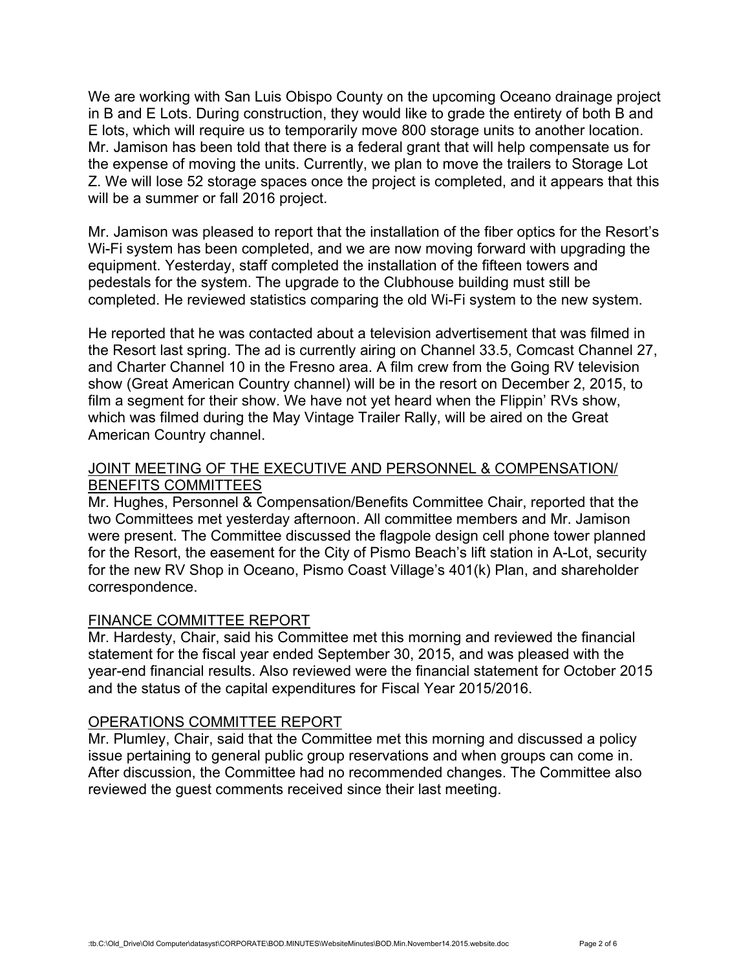We are working with San Luis Obispo County on the upcoming Oceano drainage project in B and E Lots. During construction, they would like to grade the entirety of both B and E lots, which will require us to temporarily move 800 storage units to another location. Mr. Jamison has been told that there is a federal grant that will help compensate us for the expense of moving the units. Currently, we plan to move the trailers to Storage Lot Z. We will lose 52 storage spaces once the project is completed, and it appears that this will be a summer or fall 2016 project.

Mr. Jamison was pleased to report that the installation of the fiber optics for the Resort's Wi-Fi system has been completed, and we are now moving forward with upgrading the equipment. Yesterday, staff completed the installation of the fifteen towers and pedestals for the system. The upgrade to the Clubhouse building must still be completed. He reviewed statistics comparing the old Wi-Fi system to the new system.

He reported that he was contacted about a television advertisement that was filmed in the Resort last spring. The ad is currently airing on Channel 33.5, Comcast Channel 27, and Charter Channel 10 in the Fresno area. A film crew from the Going RV television show (Great American Country channel) will be in the resort on December 2, 2015, to film a segment for their show. We have not yet heard when the Flippin' RVs show, which was filmed during the May Vintage Trailer Rally, will be aired on the Great American Country channel.

## JOINT MEETING OF THE EXECUTIVE AND PERSONNEL & COMPENSATION/ BENEFITS COMMITTEES

Mr. Hughes, Personnel & Compensation/Benefits Committee Chair, reported that the two Committees met yesterday afternoon. All committee members and Mr. Jamison were present. The Committee discussed the flagpole design cell phone tower planned for the Resort, the easement for the City of Pismo Beach's lift station in A-Lot, security for the new RV Shop in Oceano, Pismo Coast Village's 401(k) Plan, and shareholder correspondence.

# FINANCE COMMITTEE REPORT

Mr. Hardesty, Chair, said his Committee met this morning and reviewed the financial statement for the fiscal year ended September 30, 2015, and was pleased with the year-end financial results. Also reviewed were the financial statement for October 2015 and the status of the capital expenditures for Fiscal Year 2015/2016.

# OPERATIONS COMMITTEE REPORT

Mr. Plumley, Chair, said that the Committee met this morning and discussed a policy issue pertaining to general public group reservations and when groups can come in. After discussion, the Committee had no recommended changes. The Committee also reviewed the guest comments received since their last meeting.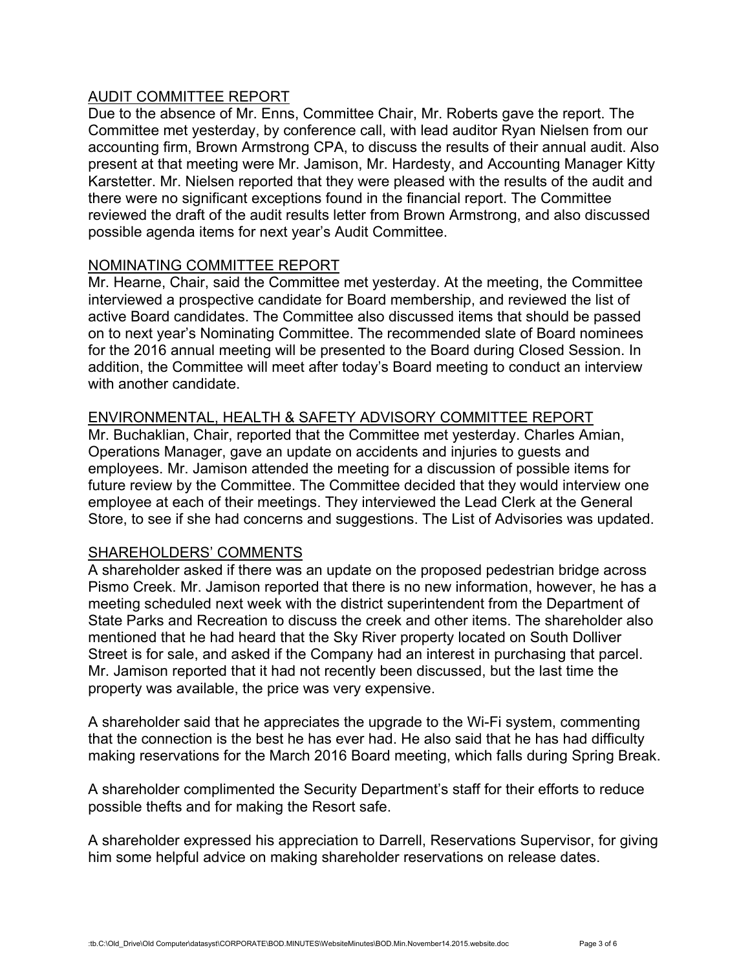# AUDIT COMMITTEE REPORT

Due to the absence of Mr. Enns, Committee Chair, Mr. Roberts gave the report. The Committee met yesterday, by conference call, with lead auditor Ryan Nielsen from our accounting firm, Brown Armstrong CPA, to discuss the results of their annual audit. Also present at that meeting were Mr. Jamison, Mr. Hardesty, and Accounting Manager Kitty Karstetter. Mr. Nielsen reported that they were pleased with the results of the audit and there were no significant exceptions found in the financial report. The Committee reviewed the draft of the audit results letter from Brown Armstrong, and also discussed possible agenda items for next year's Audit Committee.

# NOMINATING COMMITTEE REPORT

Mr. Hearne, Chair, said the Committee met yesterday. At the meeting, the Committee interviewed a prospective candidate for Board membership, and reviewed the list of active Board candidates. The Committee also discussed items that should be passed on to next year's Nominating Committee. The recommended slate of Board nominees for the 2016 annual meeting will be presented to the Board during Closed Session. In addition, the Committee will meet after today's Board meeting to conduct an interview with another candidate.

# ENVIRONMENTAL, HEALTH & SAFETY ADVISORY COMMITTEE REPORT

Mr. Buchaklian, Chair, reported that the Committee met yesterday. Charles Amian, Operations Manager, gave an update on accidents and injuries to guests and employees. Mr. Jamison attended the meeting for a discussion of possible items for future review by the Committee. The Committee decided that they would interview one employee at each of their meetings. They interviewed the Lead Clerk at the General Store, to see if she had concerns and suggestions. The List of Advisories was updated.

# SHAREHOLDERS' COMMENTS

A shareholder asked if there was an update on the proposed pedestrian bridge across Pismo Creek. Mr. Jamison reported that there is no new information, however, he has a meeting scheduled next week with the district superintendent from the Department of State Parks and Recreation to discuss the creek and other items. The shareholder also mentioned that he had heard that the Sky River property located on South Dolliver Street is for sale, and asked if the Company had an interest in purchasing that parcel. Mr. Jamison reported that it had not recently been discussed, but the last time the property was available, the price was very expensive.

A shareholder said that he appreciates the upgrade to the Wi-Fi system, commenting that the connection is the best he has ever had. He also said that he has had difficulty making reservations for the March 2016 Board meeting, which falls during Spring Break.

A shareholder complimented the Security Department's staff for their efforts to reduce possible thefts and for making the Resort safe.

A shareholder expressed his appreciation to Darrell, Reservations Supervisor, for giving him some helpful advice on making shareholder reservations on release dates.